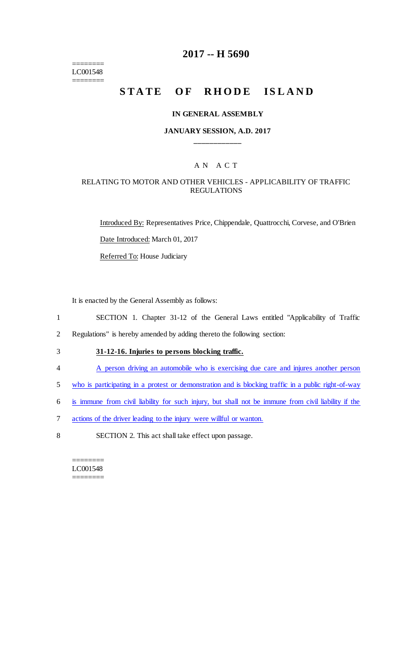======== LC001548 ========

## **2017 -- H 5690**

# **STATE OF RHODE ISLAND**

#### **IN GENERAL ASSEMBLY**

## **JANUARY SESSION, A.D. 2017 \_\_\_\_\_\_\_\_\_\_\_\_**

## A N A C T

## RELATING TO MOTOR AND OTHER VEHICLES - APPLICABILITY OF TRAFFIC REGULATIONS

Introduced By: Representatives Price, Chippendale, Quattrocchi, Corvese, and O'Brien Date Introduced: March 01, 2017 Referred To: House Judiciary

It is enacted by the General Assembly as follows:

- 1 SECTION 1. Chapter 31-12 of the General Laws entitled "Applicability of Traffic
- 2 Regulations" is hereby amended by adding thereto the following section:
- 3 **31-12-16. Injuries to persons blocking traffic.**
- 4 A person driving an automobile who is exercising due care and injures another person
- 5 who is participating in a protest or demonstration and is blocking traffic in a public right-of-way
- 6 is immune from civil liability for such injury, but shall not be immune from civil liability if the
- 7 actions of the driver leading to the injury were willful or wanton.
- 8 SECTION 2. This act shall take effect upon passage.

======== LC001548 ========